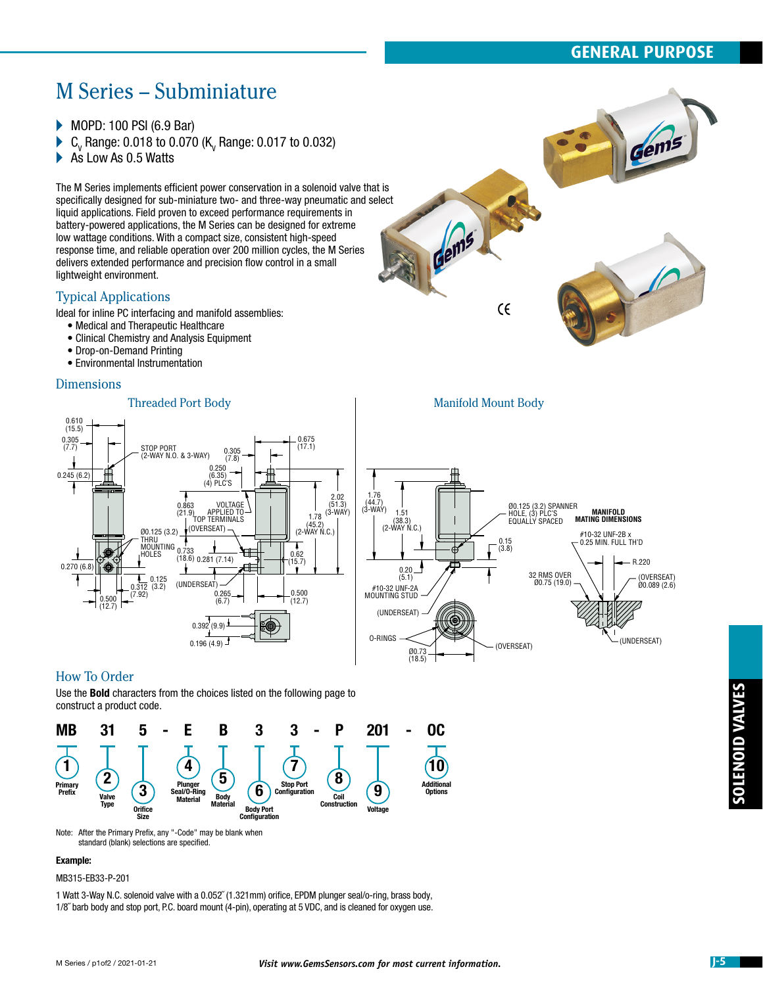# **GENERAL PURPOSE**

# M Series – Subminiature

- ▶ MOPD: 100 PSI (6.9 Bar)
- $\blacktriangleright$   $\mathtt{C}_\text{v}$  Range: 0.018 to 0.070 (K<sub>v</sub> Range: 0.017 to 0.032)
- As Low As 0.5 Watts

The M Series implements efficient power conservation in a solenoid valve that is specifically designed for sub-miniature two- and three-way pneumatic and select liquid applications. Field proven to exceed performance requirements in battery-powered applications, the M Series can be designed for extreme low wattage conditions. With a compact size, consistent high-speed response time, and reliable operation over 200 million cycles, the M Series delivers extended performance and precision flow control in a small lightweight environment.

## Typical Applications

Ideal for inline PC interfacing and manifold assemblies:

- Medical and Therapeutic Healthcare
- Clinical Chemistry and Analysis Equipment
- Drop-on-Demand Printing
- Environmental Instrumentation

## **Dimensions**



Threaded Port Body **Manifold Mount Body** 0.610  $(15.5)$ 0.305 0.675 STOP PORT (7.7) (17.1)  $0.305$ (2-WAY N.O. & 3-WAY) (7.8) 0.250 0.245 (6.2) (6.35) (4) PLC'S 2.02 1.76 (44.7) (3-WAY) 1.51 VOLTAGE  $(51.3)$ 0.863 Ø0.125 (3.2) SPANNER HOLE, (3) PLC'S EQUALLY SPACED  $\frac{1}{1.78}$  (3-WAY) APPLIED TO TOP TERMINALS (21.9) **MANIFOLD MATING DIMENSIONS** (38.3) (2-WAY N.C.) (45.2) (2-WAY N.C.) (OVERSEAT) Ø0.125 (3.2) #10-32 UNF-2B x 0.25 MIN. FULL TH'D 0.15 THRU MOUNTING 0.733 A  $(3.8)$ HOLES 0.62  $(18.6)$  0.281  $(7.14)$ R.220 (15.7) 0.270 (6.8) 0.20 (5.1) 0.125 32 RMS OVER Ø0.75 (19.0) (OVERSEAT) Ø0.089 (2.6) (UNDERSEAT) 0.312 (3.2) #10-32 UNF-2A MOUNTING STUD 0.500 (7.92) 0.265  $(12.7)$ 0.500 (12.7)  $(6.7)$ (UNDERSEAT)  $0.392(9.9)$ O-RINGS (UNDERSEAT) 0.196 (4.9) (OVERSEAT) Ø0.73 (18.5)

## How To Order

Use the Bold characters from the choices listed on the following page to construct a product code.



Note: After the Primary Prefix, any "-Code" may be blank when standard (blank) selections are specified.

## Example:

MB315-EB33-P-201

1 Watt 3-Way N.C. solenoid valve with a 0.052˝ (1.321mm) orifice, EPDM plunger seal/o-ring, brass body, 1/8˝ barb body and stop port, P.C. board mount (4-pin), operating at 5 VDC, and is cleaned for oxygen use.